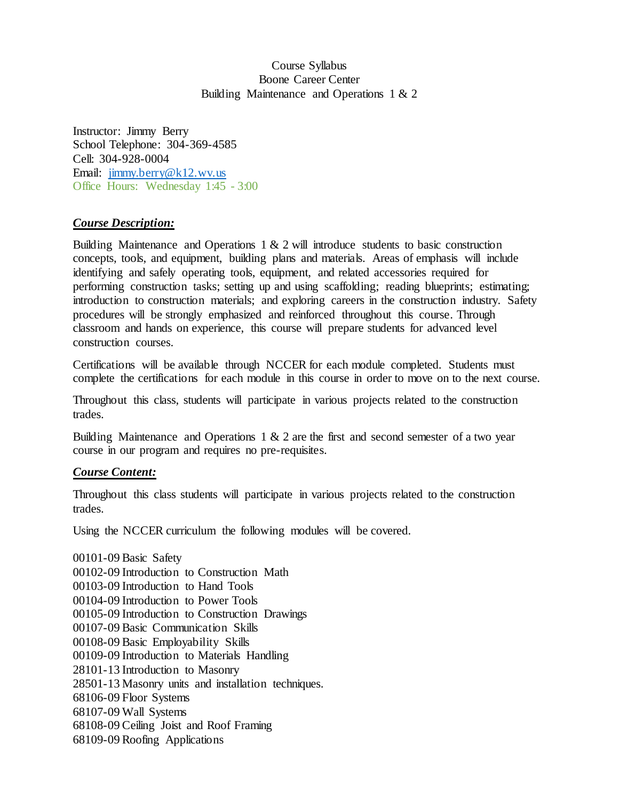# Course Syllabus Boone Career Center Building Maintenance and Operations 1 & 2

Instructor: Jimmy Berry School Telephone: 304-369-4585 Cell: 304-928-0004 Email: [jimmy.berry@k12.wv.us](mailto:rpmiller@k12.wv.us) Office Hours: Wednesday 1:45 - 3:00

# *Course Description:*

Building Maintenance and Operations  $1 \& 2$  will introduce students to basic construction concepts, tools, and equipment, building plans and materials. Areas of emphasis will include identifying and safely operating tools, equipment, and related accessories required for performing construction tasks; setting up and using scaffolding; reading blueprints; estimating; introduction to construction materials; and exploring careers in the construction industry. Safety procedures will be strongly emphasized and reinforced throughout this course. Through classroom and hands on experience, this course will prepare students for advanced level construction courses.

Certifications will be available through NCCER for each module completed. Students must complete the certifications for each module in this course in order to move on to the next course.

Throughout this class, students will participate in various projects related to the construction trades.

Building Maintenance and Operations 1 & 2 are the first and second semester of a two year course in our program and requires no pre-requisites.

# *Course Content:*

Throughout this class students will participate in various projects related to the construction trades.

Using the NCCER curriculum the following modules will be covered.

00101-09 Basic Safety 00102-09 Introduction to Construction Math 00103-09 Introduction to Hand Tools 00104-09 Introduction to Power Tools 00105-09 Introduction to Construction Drawings 00107-09 Basic Communication Skills 00108-09 Basic Employability Skills 00109-09 Introduction to Materials Handling 28101-13 Introduction to Masonry 28501-13 Masonry units and installation techniques. 68106-09 Floor Systems 68107-09 Wall Systems 68108-09 Ceiling Joist and Roof Framing 68109-09 Roofing Applications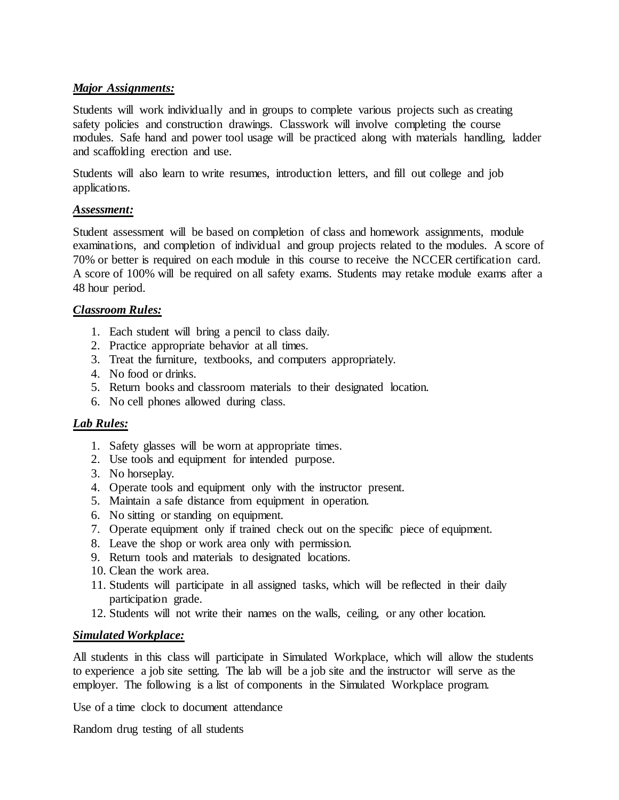# *Major Assignments:*

Students will work individually and in groups to complete various projects such as creating safety policies and construction drawings. Classwork will involve completing the course modules. Safe hand and power tool usage will be practiced along with materials handling, ladder and scaffolding erection and use.

Students will also learn to write resumes, introduction letters, and fill out college and job applications.

## *Assessment:*

Student assessment will be based on completion of class and homework assignments, module examinations, and completion of individual and group projects related to the modules. A score of 70% or better is required on each module in this course to receive the NCCER certification card. A score of 100% will be required on all safety exams. Students may retake module exams after a 48 hour period.

## *Classroom Rules:*

- 1. Each student will bring a pencil to class daily.
- 2. Practice appropriate behavior at all times.
- 3. Treat the furniture, textbooks, and computers appropriately.
- 4. No food or drinks.
- 5. Return books and classroom materials to their designated location.
- 6. No cell phones allowed during class.

# *Lab Rules:*

- 1. Safety glasses will be worn at appropriate times.
- 2. Use tools and equipment for intended purpose.
- 3. No horseplay.
- 4. Operate tools and equipment only with the instructor present.
- 5. Maintain a safe distance from equipment in operation.
- 6. No sitting or standing on equipment.
- 7. Operate equipment only if trained check out on the specific piece of equipment.
- 8. Leave the shop or work area only with permission.
- 9. Return tools and materials to designated locations.
- 10. Clean the work area.
- 11. Students will participate in all assigned tasks, which will be reflected in their daily participation grade.
- 12. Students will not write their names on the walls, ceiling, or any other location.

#### *Simulated Workplace:*

All students in this class will participate in Simulated Workplace, which will allow the students to experience a job site setting. The lab will be a job site and the instructor will serve as the employer. The following is a list of components in the Simulated Workplace program.

Use of a time clock to document attendance

Random drug testing of all students